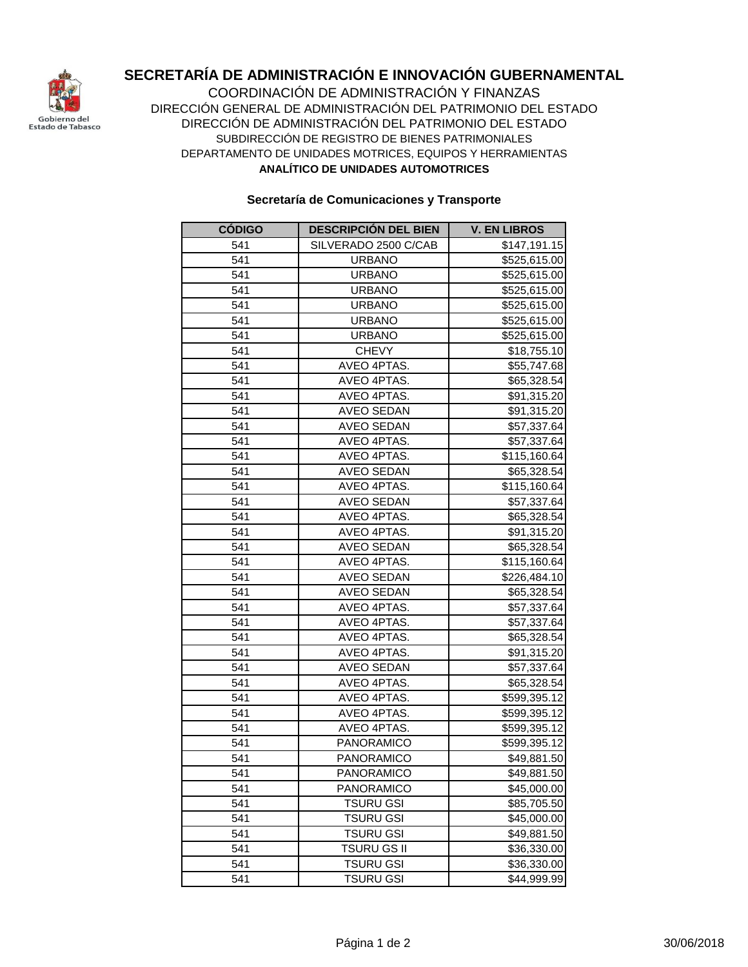

## **SECRETARÍA DE ADMINISTRACIÓN E INNOVACIÓN GUBERNAMENTAL**

COORDINACIÓN DE ADMINISTRACIÓN Y FINANZAS DIRECCIÓN GENERAL DE ADMINISTRACIÓN DEL PATRIMONIO DEL ESTADO DIRECCIÓN DE ADMINISTRACIÓN DEL PATRIMONIO DEL ESTADO DEPARTAMENTO DE UNIDADES MOTRICES, EQUIPOS Y HERRAMIENTAS **ANALÍTICO DE UNIDADES AUTOMOTRICES** SUBDIRECCIÓN DE REGISTRO DE BIENES PATRIMONIALES

## **Secretaría de Comunicaciones y Transporte**

| <b>CÓDIGO</b> | <b>DESCRIPCIÓN DEL BIEN</b> | <b>V. EN LIBROS</b> |
|---------------|-----------------------------|---------------------|
| 541           | SILVERADO 2500 C/CAB        | \$147,191.15        |
| 541           | <b>URBANO</b>               | \$525,615.00        |
| 541           | <b>URBANO</b>               | \$525,615.00        |
| 541           | <b>URBANO</b>               | \$525,615.00        |
| 541           | <b>URBANO</b>               | \$525,615.00        |
| 541           | <b>URBANO</b>               | \$525,615.00        |
| 541           | <b>URBANO</b>               | \$525,615.00        |
| 541           | <b>CHEVY</b>                | \$18,755.10         |
| 541           | AVEO 4PTAS.                 | \$55,747.68         |
| 541           | AVEO 4PTAS.                 | \$65,328.54         |
| 541           | AVEO 4PTAS.                 | \$91,315.20         |
| 541           | <b>AVEO SEDAN</b>           | \$91,315.20         |
| 541           | <b>AVEO SEDAN</b>           | \$57,337.64         |
| 541           | AVEO 4PTAS.                 | \$57,337.64         |
| 541           | AVEO 4PTAS.                 | \$115,160.64        |
| 541           | <b>AVEO SEDAN</b>           | \$65,328.54         |
| 541           | AVEO 4PTAS.                 | \$115,160.64        |
| 541           | <b>AVEO SEDAN</b>           | \$57,337.64         |
| 541           | AVEO 4PTAS.                 | \$65,328.54         |
| 541           | AVEO 4PTAS.                 | \$91,315.20         |
| 541           | <b>AVEO SEDAN</b>           | \$65,328.54         |
| 541           | AVEO 4PTAS.                 | \$115,160.64        |
| 541           | <b>AVEO SEDAN</b>           | \$226,484.10        |
| 541           | <b>AVEO SEDAN</b>           | \$65,328.54         |
| 541           | AVEO 4PTAS.                 | \$57,337.64         |
| 541           | AVEO 4PTAS.                 | \$57,337.64         |
| 541           | AVEO 4PTAS.                 | \$65,328.54         |
| 541           | AVEO 4PTAS.                 | \$91,315.20         |
| 541           | <b>AVEO SEDAN</b>           | \$57,337.64         |
| 541           | AVEO 4PTAS.                 | \$65,328.54         |
| 541           | AVEO 4PTAS.                 | \$599,395.12        |
| 541           | AVEO 4PTAS.                 | \$599,395.12        |
| 541           | AVEO 4PTAS.                 | \$599,395.12        |
| 541           | PANORAMICO                  | \$599,395.12        |
| 541           | <b>PANORAMICO</b>           | \$49,881.50         |
| 541           | PANORAMICO                  | \$49,881.50         |
| 541           | PANORAMICO                  | \$45,000.00         |
| 541           | <b>TSURU GSI</b>            | \$85,705.50         |
| 541           | <b>TSURU GSI</b>            | \$45,000.00         |
| 541           | <b>TSURU GSI</b>            | \$49,881.50         |
| 541           | <b>TSURU GS II</b>          | \$36,330.00         |
| 541           | <b>TSURU GSI</b>            | \$36,330.00         |
| 541           | <b>TSURU GSI</b>            | \$44,999.99         |